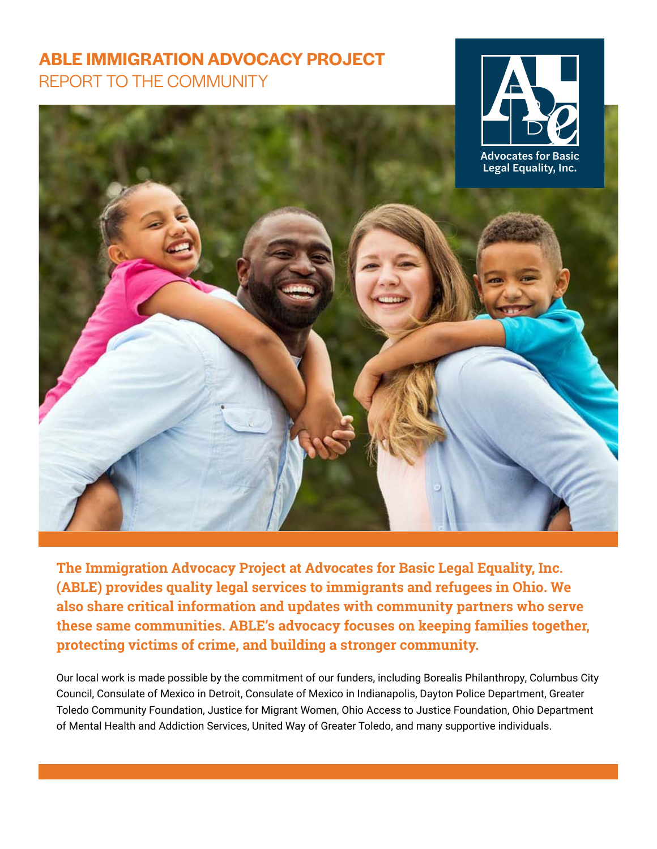## **ABLE IMMIGRATION ADVOCACY PROJECT** REPORT TO THE COMMUNITY



**The Immigration Advocacy Project at Advocates for Basic Legal Equality, Inc. (ABLE) provides quality legal services to immigrants and refugees in Ohio. We also share critical information and updates with community partners who serve these same communities. ABLE's advocacy focuses on keeping families together, protecting victims of crime, and building a stronger community.**

Our local work is made possible by the commitment of our funders, including Borealis Philanthropy, Columbus City Council, Consulate of Mexico in Detroit, Consulate of Mexico in Indianapolis, Dayton Police Department, Greater Toledo Community Foundation, Justice for Migrant Women, Ohio Access to Justice Foundation, Ohio Department of Mental Health and Addiction Services, United Way of Greater Toledo, and many supportive individuals.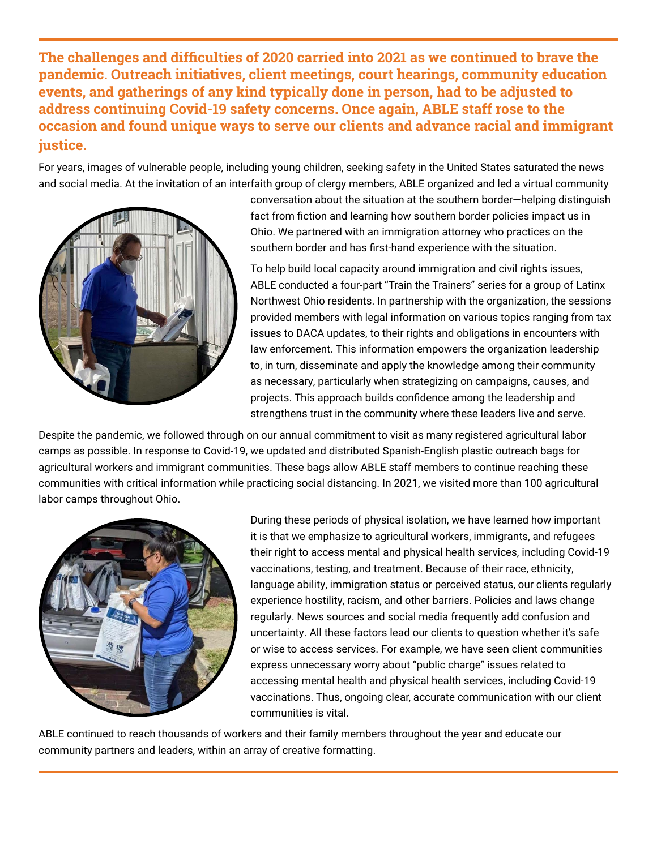**The challenges and difficulties of 2020 carried into 2021 as we continued to brave the pandemic. Outreach initiatives, client meetings, court hearings, community education events, and gatherings of any kind typically done in person, had to be adjusted to address continuing Covid-19 safety concerns. Once again, ABLE staff rose to the occasion and found unique ways to serve our clients and advance racial and immigrant justice.**

For years, images of vulnerable people, including young children, seeking safety in the United States saturated the news and social media. At the invitation of an interfaith group of clergy members, ABLE organized and led a virtual community



conversation about the situation at the southern border—helping distinguish fact from fiction and learning how southern border policies impact us in Ohio. We partnered with an immigration attorney who practices on the southern border and has first-hand experience with the situation.

To help build local capacity around immigration and civil rights issues, ABLE conducted a four-part "Train the Trainers" series for a group of Latinx Northwest Ohio residents. In partnership with the organization, the sessions provided members with legal information on various topics ranging from tax issues to DACA updates, to their rights and obligations in encounters with law enforcement. This information empowers the organization leadership to, in turn, disseminate and apply the knowledge among their community as necessary, particularly when strategizing on campaigns, causes, and projects. This approach builds confidence among the leadership and strengthens trust in the community where these leaders live and serve.

Despite the pandemic, we followed through on our annual commitment to visit as many registered agricultural labor camps as possible. In response to Covid-19, we updated and distributed Spanish-English plastic outreach bags for agricultural workers and immigrant communities. These bags allow ABLE staff members to continue reaching these communities with critical information while practicing social distancing. In 2021, we visited more than 100 agricultural labor camps throughout Ohio.



During these periods of physical isolation, we have learned how important it is that we emphasize to agricultural workers, immigrants, and refugees their right to access mental and physical health services, including Covid-19 vaccinations, testing, and treatment. Because of their race, ethnicity, language ability, immigration status or perceived status, our clients regularly experience hostility, racism, and other barriers. Policies and laws change regularly. News sources and social media frequently add confusion and uncertainty. All these factors lead our clients to question whether it's safe or wise to access services. For example, we have seen client communities express unnecessary worry about "public charge" issues related to accessing mental health and physical health services, including Covid-19 vaccinations. Thus, ongoing clear, accurate communication with our client communities is vital.

ABLE continued to reach thousands of workers and their family members throughout the year and educate our community partners and leaders, within an array of creative formatting.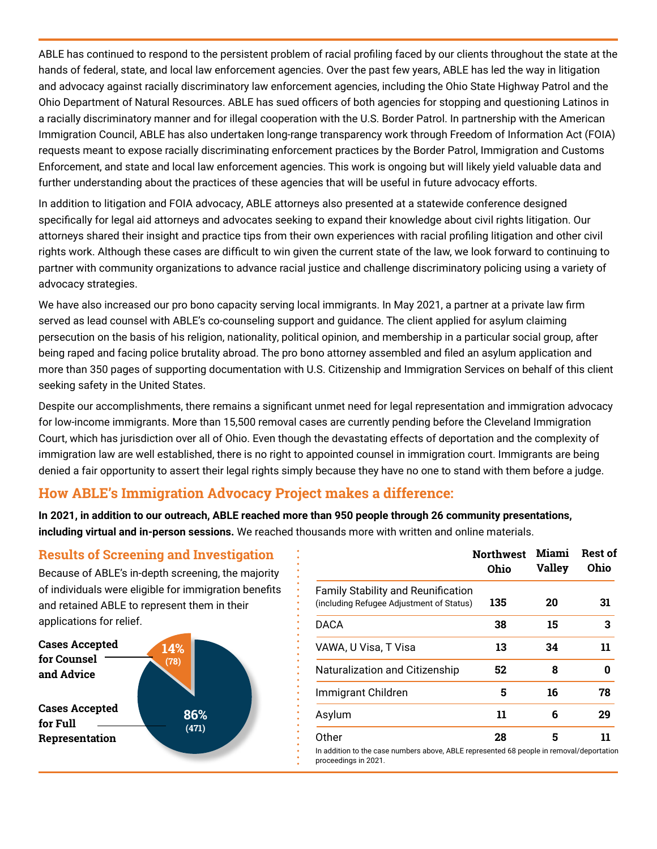ABLE has continued to respond to the persistent problem of racial profiling faced by our clients throughout the state at the hands of federal, state, and local law enforcement agencies. Over the past few years, ABLE has led the way in litigation and advocacy against racially discriminatory law enforcement agencies, including the Ohio State Highway Patrol and the Ohio Department of Natural Resources. ABLE has sued officers of both agencies for stopping and questioning Latinos in a racially discriminatory manner and for illegal cooperation with the U.S. Border Patrol. In partnership with the American Immigration Council, ABLE has also undertaken long-range transparency work through Freedom of Information Act (FOIA) requests meant to expose racially discriminating enforcement practices by the Border Patrol, Immigration and Customs Enforcement, and state and local law enforcement agencies. This work is ongoing but will likely yield valuable data and further understanding about the practices of these agencies that will be useful in future advocacy efforts.

In addition to litigation and FOIA advocacy, ABLE attorneys also presented at a statewide conference designed specifically for legal aid attorneys and advocates seeking to expand their knowledge about civil rights litigation. Our attorneys shared their insight and practice tips from their own experiences with racial profiling litigation and other civil rights work. Although these cases are difficult to win given the current state of the law, we look forward to continuing to partner with community organizations to advance racial justice and challenge discriminatory policing using a variety of advocacy strategies.

We have also increased our pro bono capacity serving local immigrants. In May 2021, a partner at a private law firm served as lead counsel with ABLE's co-counseling support and guidance. The client applied for asylum claiming persecution on the basis of his religion, nationality, political opinion, and membership in a particular social group, after being raped and facing police brutality abroad. The pro bono attorney assembled and filed an asylum application and more than 350 pages of supporting documentation with U.S. Citizenship and Immigration Services on behalf of this client seeking safety in the United States.

Despite our accomplishments, there remains a significant unmet need for legal representation and immigration advocacy for low-income immigrants. More than 15,500 removal cases are currently pending before the Cleveland Immigration Court, which has jurisdiction over all of Ohio. Even though the devastating effects of deportation and the complexity of immigration law are well established, there is no right to appointed counsel in immigration court. Immigrants are being denied a fair opportunity to assert their legal rights simply because they have no one to stand with them before a judge.

proceedings in 2021.

## **How ABLE's Immigration Advocacy Project makes a difference:**

**In 2021, in addition to our outreach, ABLE reached more than 950 people through 26 community presentations, including virtual and in-person sessions.** We reached thousands more with written and online materials.

## **Results of Screening and Investigation**

Because of ABLE's in-depth screening, the majority of individuals were eligible for immigration benefits and retained ABLE to represent them in their applications for relief.



|                                                                                                   | <b>Northwest</b><br>Ohio | Miami<br>Valley | <b>Rest of</b><br>Ohio |
|---------------------------------------------------------------------------------------------------|--------------------------|-----------------|------------------------|
| <b>Family Stability and Reunification</b><br>(including Refugee Adjustment of Status)             | 135                      | 20              | 31                     |
| <b>DACA</b>                                                                                       | 38                       | 15              | 3                      |
| VAWA, U Visa, T Visa                                                                              | 13                       | 34              | 11                     |
| Naturalization and Citizenship                                                                    | 52                       | 8               | 0                      |
| Immigrant Children                                                                                | 5                        | 16              | 78                     |
| Asylum                                                                                            | 11                       | 6               | 29                     |
| Other<br>In addition to the case numbers above, ABLE represented 68 people in removal/deportation | 28                       | 5               | 11                     |